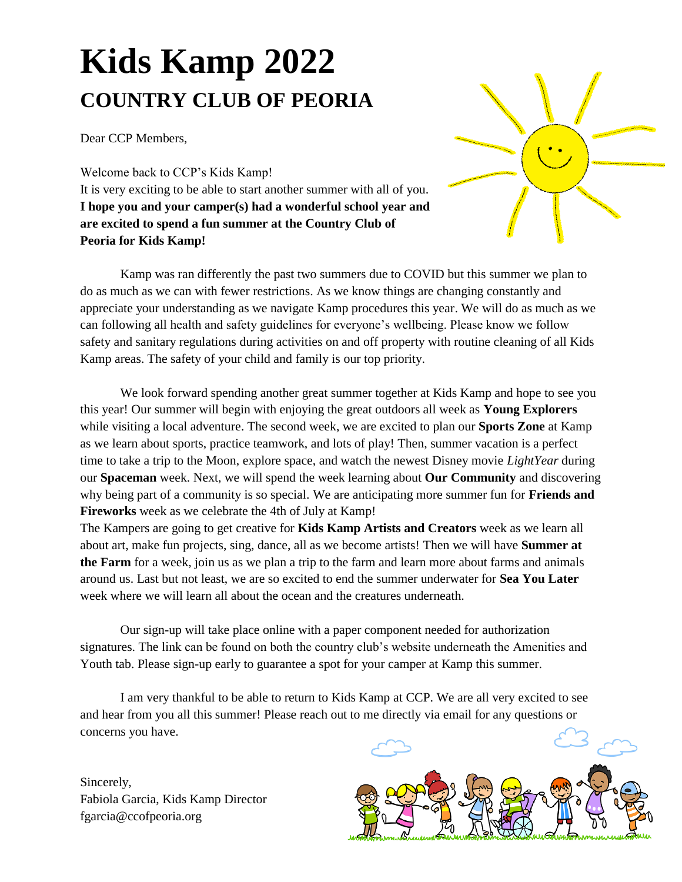# **Kids Kamp 2022 COUNTRY CLUB OF PEORIA**

Dear CCP Members,

Welcome back to CCP's Kids Kamp! It is very exciting to be able to start another summer with all of you. **I hope you and your camper(s) had a wonderful school year and are excited to spend a fun summer at the Country Club of Peoria for Kids Kamp!** 

Kamp was ran differently the past two summers due to COVID but this summer we plan to do as much as we can with fewer restrictions. As we know things are changing constantly and appreciate your understanding as we navigate Kamp procedures this year. We will do as much as we can following all health and safety guidelines for everyone's wellbeing. Please know we follow safety and sanitary regulations during activities on and off property with routine cleaning of all Kids Kamp areas. The safety of your child and family is our top priority.

We look forward spending another great summer together at Kids Kamp and hope to see you this year! Our summer will begin with enjoying the great outdoors all week as **Young Explorers**  while visiting a local adventure. The second week, we are excited to plan our **Sports Zone** at Kamp as we learn about sports, practice teamwork, and lots of play! Then, summer vacation is a perfect time to take a trip to the Moon, explore space, and watch the newest Disney movie *LightYear* during our **Spaceman** week. Next, we will spend the week learning about **Our Community** and discovering why being part of a community is so special. We are anticipating more summer fun for **Friends and Fireworks** week as we celebrate the 4th of July at Kamp!

The Kampers are going to get creative for **Kids Kamp Artists and Creators** week as we learn all about art, make fun projects, sing, dance, all as we become artists! Then we will have **Summer at the Farm** for a week, join us as we plan a trip to the farm and learn more about farms and animals around us. Last but not least, we are so excited to end the summer underwater for **Sea You Later**  week where we will learn all about the ocean and the creatures underneath.

Our sign-up will take place online with a paper component needed for authorization signatures. The link can be found on both the country club's website underneath the Amenities and Youth tab. Please sign-up early to guarantee a spot for your camper at Kamp this summer.

I am very thankful to be able to return to Kids Kamp at CCP. We are all very excited to see and hear from you all this summer! Please reach out to me directly via email for any questions or concerns you have.

Sincerely, Fabiola Garcia, Kids Kamp Director fgarcia@ccofpeoria.org



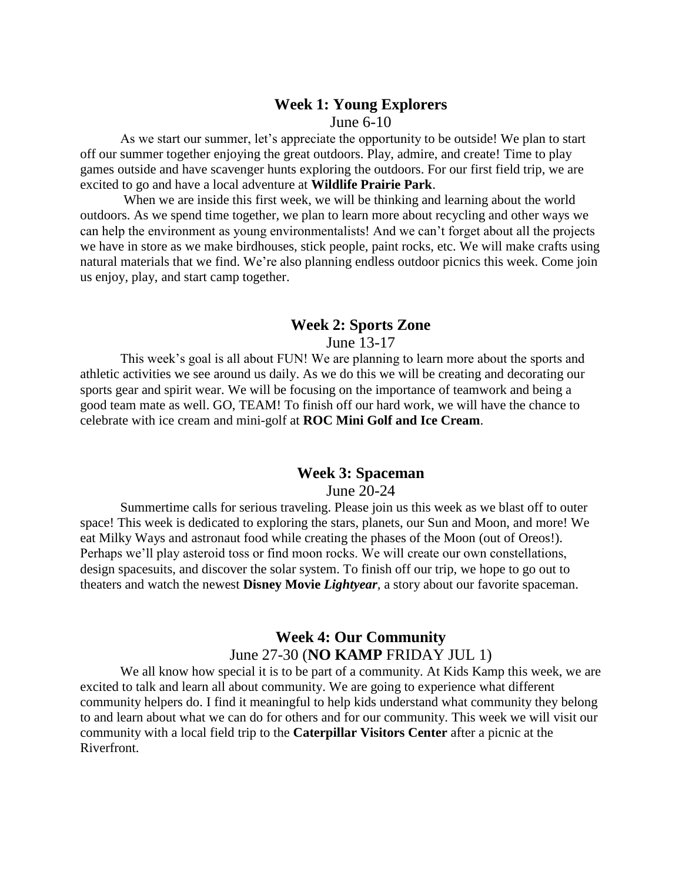# **Week 1: Young Explorers**

#### June 6-10

As we start our summer, let's appreciate the opportunity to be outside! We plan to start off our summer together enjoying the great outdoors. Play, admire, and create! Time to play games outside and have scavenger hunts exploring the outdoors. For our first field trip, we are excited to go and have a local adventure at **Wildlife Prairie Park**.

When we are inside this first week, we will be thinking and learning about the world outdoors. As we spend time together, we plan to learn more about recycling and other ways we can help the environment as young environmentalists! And we can't forget about all the projects we have in store as we make birdhouses, stick people, paint rocks, etc. We will make crafts using natural materials that we find. We're also planning endless outdoor picnics this week. Come join us enjoy, play, and start camp together.

#### **Week 2: Sports Zone**

June 13-17

This week's goal is all about FUN! We are planning to learn more about the sports and athletic activities we see around us daily. As we do this we will be creating and decorating our sports gear and spirit wear. We will be focusing on the importance of teamwork and being a good team mate as well. GO, TEAM! To finish off our hard work, we will have the chance to celebrate with ice cream and mini-golf at **ROC Mini Golf and Ice Cream**.

#### **Week 3: Spaceman**

June 20-24

Summertime calls for serious traveling. Please join us this week as we blast off to outer space! This week is dedicated to exploring the stars, planets, our Sun and Moon, and more! We eat Milky Ways and astronaut food while creating the phases of the Moon (out of Oreos!). Perhaps we'll play asteroid toss or find moon rocks. We will create our own constellations, design spacesuits, and discover the solar system. To finish off our trip, we hope to go out to theaters and watch the newest **Disney Movie** *Lightyear,* a story about our favorite spaceman.

### **Week 4: Our Community** June 27-30 (**NO KAMP** FRIDAY JUL 1)

We all know how special it is to be part of a community. At Kids Kamp this week, we are excited to talk and learn all about community. We are going to experience what different community helpers do. I find it meaningful to help kids understand what community they belong to and learn about what we can do for others and for our community. This week we will visit our community with a local field trip to the **Caterpillar Visitors Center** after a picnic at the Riverfront.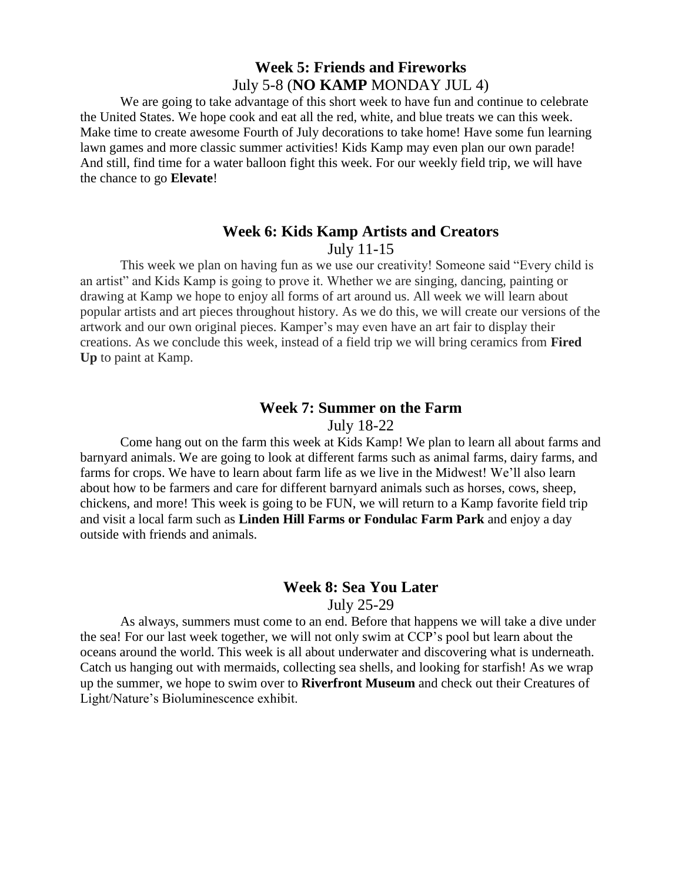### **Week 5: Friends and Fireworks** July 5-8 (**NO KAMP** MONDAY JUL 4)

We are going to take advantage of this short week to have fun and continue to celebrate the United States. We hope cook and eat all the red, white, and blue treats we can this week. Make time to create awesome Fourth of July decorations to take home! Have some fun learning lawn games and more classic summer activities! Kids Kamp may even plan our own parade! And still, find time for a water balloon fight this week. For our weekly field trip, we will have the chance to go **Elevate**!

#### **Week 6: Kids Kamp Artists and Creators**

#### July 11-15

This week we plan on having fun as we use our creativity! Someone said "Every child is an artist" and Kids Kamp is going to prove it. Whether we are singing, dancing, painting or drawing at Kamp we hope to enjoy all forms of art around us. All week we will learn about popular artists and art pieces throughout history. As we do this, we will create our versions of the artwork and our own original pieces. Kamper's may even have an art fair to display their creations. As we conclude this week, instead of a field trip we will bring ceramics from **Fired Up** to paint at Kamp.

#### **Week 7: Summer on the Farm**

#### July 18-22

Come hang out on the farm this week at Kids Kamp! We plan to learn all about farms and barnyard animals. We are going to look at different farms such as animal farms, dairy farms, and farms for crops. We have to learn about farm life as we live in the Midwest! We'll also learn about how to be farmers and care for different barnyard animals such as horses, cows, sheep, chickens, and more! This week is going to be FUN, we will return to a Kamp favorite field trip and visit a local farm such as **Linden Hill Farms or Fondulac Farm Park** and enjoy a day outside with friends and animals.

#### **Week 8: Sea You Later**

#### July 25-29

As always, summers must come to an end. Before that happens we will take a dive under the sea! For our last week together, we will not only swim at CCP's pool but learn about the oceans around the world. This week is all about underwater and discovering what is underneath. Catch us hanging out with mermaids, collecting sea shells, and looking for starfish! As we wrap up the summer, we hope to swim over to **Riverfront Museum** and check out their Creatures of Light/Nature's Bioluminescence exhibit.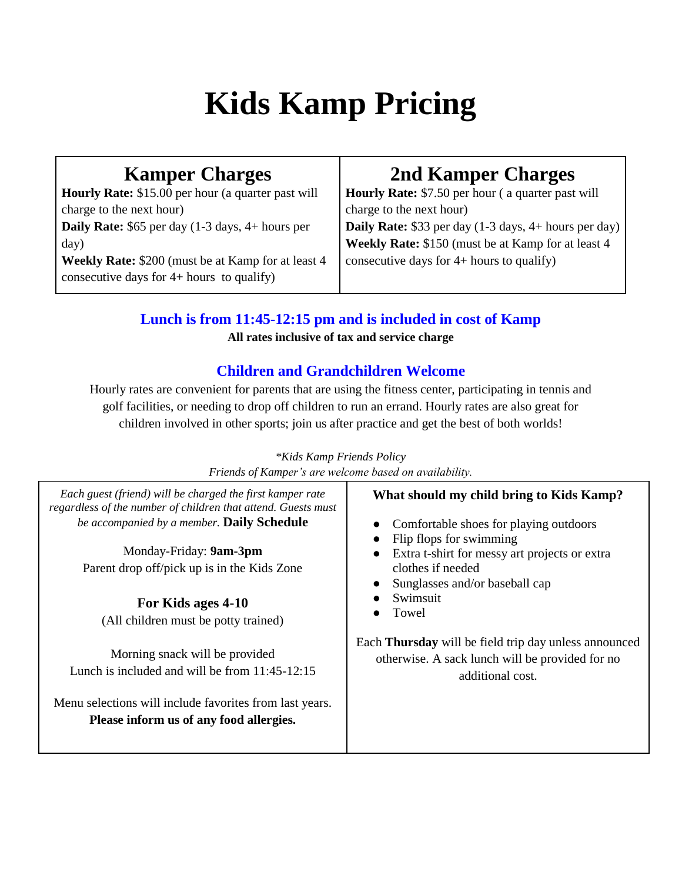# **Kids Kamp Pricing**

# **Kamper Charges**

**Hourly Rate:** \$15.00 per hour (a quarter past will charge to the next hour) **Daily Rate:** \$65 per day (1-3 days, 4+ hours per day)

**Weekly Rate:** \$200 (must be at Kamp for at least 4 consecutive days for 4+ hours to qualify)

# **2nd Kamper Charges**

**Hourly Rate:** \$7.50 per hour ( a quarter past will charge to the next hour) **Daily Rate:** \$33 per day (1-3 days, 4+ hours per day) **Weekly Rate:** \$150 (must be at Kamp for at least 4 consecutive days for 4+ hours to qualify)

# **Lunch is from 11:45-12:15 pm and is included in cost of Kamp**

**All rates inclusive of tax and service charge**

## **Children and Grandchildren Welcome**

Hourly rates are convenient for parents that are using the fitness center, participating in tennis and golf facilities, or needing to drop off children to run an errand. Hourly rates are also great for children involved in other sports; join us after practice and get the best of both worlds!

| Friends of Kamper's are welcome based on availability.                                                                                                                                                                                                                                                                                                                                                                                                                                                                                                                                                                                                                                                                                                                                                                                                                                    |  |  |
|-------------------------------------------------------------------------------------------------------------------------------------------------------------------------------------------------------------------------------------------------------------------------------------------------------------------------------------------------------------------------------------------------------------------------------------------------------------------------------------------------------------------------------------------------------------------------------------------------------------------------------------------------------------------------------------------------------------------------------------------------------------------------------------------------------------------------------------------------------------------------------------------|--|--|
| Each guest (friend) will be charged the first kamper rate<br>What should my child bring to Kids Kamp?<br>regardless of the number of children that attend. Guests must<br>be accompanied by a member. Daily Schedule<br>Comfortable shoes for playing outdoors<br>Flip flops for swimming<br>Monday-Friday: 9am-3pm<br>Extra t-shirt for messy art projects or extra<br>Parent drop off/pick up is in the Kids Zone<br>clothes if needed<br>Sunglasses and/or baseball cap<br>Swimsuit<br>For Kids ages 4-10<br>Towel<br>(All children must be potty trained)<br>Each Thursday will be field trip day unless announced<br>Morning snack will be provided<br>otherwise. A sack lunch will be provided for no<br>Lunch is included and will be from $11:45-12:15$<br>additional cost.<br>Menu selections will include favorites from last years.<br>Please inform us of any food allergies. |  |  |

## *\*Kids Kamp Friends Policy*

*Friends of Kamper's are welcome based on availability.*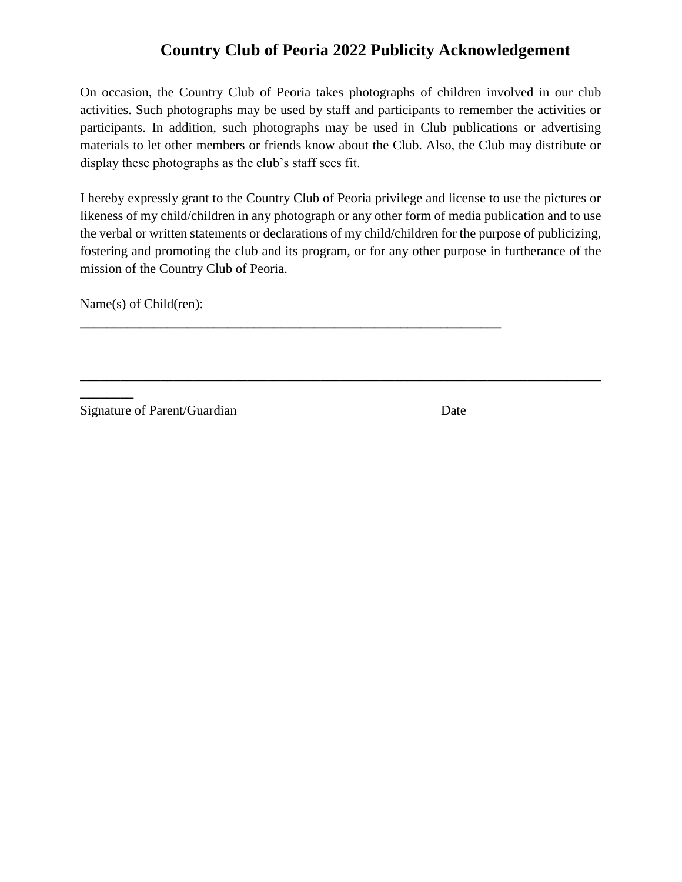# **Country Club of Peoria 2022 Publicity Acknowledgement**

On occasion, the Country Club of Peoria takes photographs of children involved in our club activities. Such photographs may be used by staff and participants to remember the activities or participants. In addition, such photographs may be used in Club publications or advertising materials to let other members or friends know about the Club. Also, the Club may distribute or display these photographs as the club's staff sees fit.

I hereby expressly grant to the Country Club of Peoria privilege and license to use the pictures or likeness of my child/children in any photograph or any other form of media publication and to use the verbal or written statements or declarations of my child/children for the purpose of publicizing, fostering and promoting the club and its program, or for any other purpose in furtherance of the mission of the Country Club of Peoria.

**\_\_\_\_\_\_\_\_\_\_\_\_\_\_\_\_\_\_\_\_\_\_\_\_\_\_\_\_\_\_\_\_\_\_\_\_\_\_\_\_\_\_\_\_\_\_\_\_\_\_\_\_\_\_\_\_\_\_\_\_\_\_\_\_\_\_\_\_\_\_\_\_\_\_\_\_\_\_**

**\_\_\_\_\_\_\_\_\_\_\_\_\_\_\_\_\_\_\_\_\_\_\_\_\_\_\_\_\_\_\_\_\_\_\_\_\_\_\_\_\_\_\_\_\_\_\_\_\_\_\_\_\_\_\_\_\_\_\_\_\_\_\_**

Name(s) of Child(ren):

**\_\_\_\_\_\_\_\_**

Signature of Parent/Guardian Date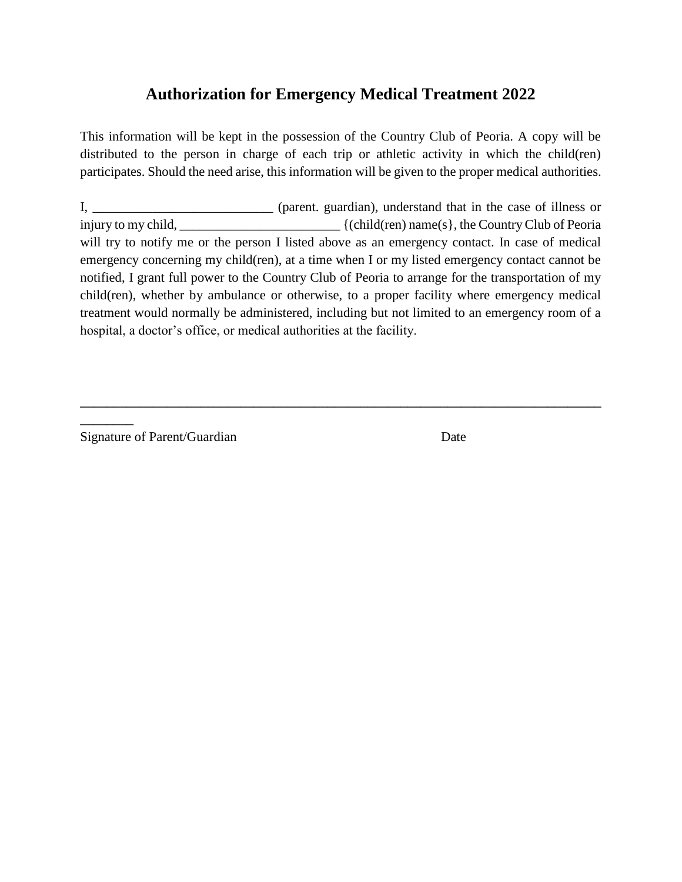## **Authorization for Emergency Medical Treatment 2022**

This information will be kept in the possession of the Country Club of Peoria. A copy will be distributed to the person in charge of each trip or athletic activity in which the child(ren) participates. Should the need arise, this information will be given to the proper medical authorities.

I, \_\_\_\_\_\_\_\_\_\_\_\_\_\_\_\_\_\_\_\_\_\_\_\_\_\_\_\_\_ (parent. guardian), understand that in the case of illness or injury to my child, \_\_\_\_\_\_\_\_\_\_\_\_\_\_\_\_\_\_\_\_\_\_\_\_ {(child(ren) name(s}, the Country Club of Peoria will try to notify me or the person I listed above as an emergency contact. In case of medical emergency concerning my child(ren), at a time when I or my listed emergency contact cannot be notified, I grant full power to the Country Club of Peoria to arrange for the transportation of my child(ren), whether by ambulance or otherwise, to a proper facility where emergency medical treatment would normally be administered, including but not limited to an emergency room of a hospital, a doctor's office, or medical authorities at the facility.

**\_\_\_\_\_\_\_\_\_\_\_\_\_\_\_\_\_\_\_\_\_\_\_\_\_\_\_\_\_\_\_\_\_\_\_\_\_\_\_\_\_\_\_\_\_\_\_\_\_\_\_\_\_\_\_\_\_\_\_\_\_\_\_\_\_\_\_\_\_\_\_\_\_\_\_\_\_\_**

Signature of Parent/Guardian Date

**\_\_\_\_\_\_\_\_**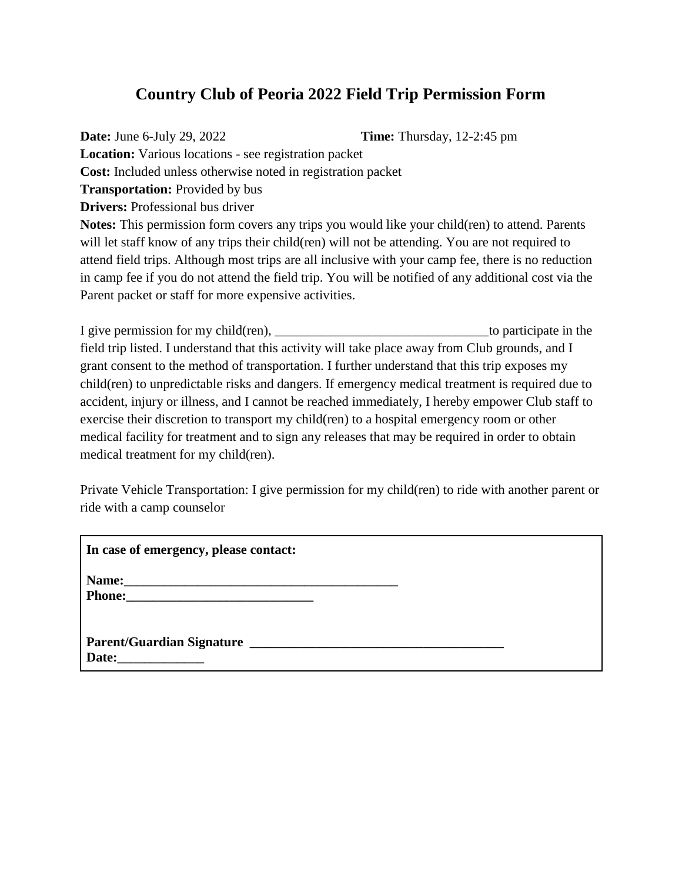## **Country Club of Peoria 2022 Field Trip Permission Form**

**Date:** June 6-July 29, 2022 **Time:** Thursday, 12-2:45 pm

**Location:** Various locations - see registration packet **Cost:** Included unless otherwise noted in registration packet **Transportation:** Provided by bus **Drivers:** Professional bus driver **Notes:** This permission form covers any trips you would like your child(ren) to attend. Parents will let staff know of any trips their child(ren) will not be attending. You are not required to attend field trips. Although most trips are all inclusive with your camp fee, there is no reduction

in camp fee if you do not attend the field trip. You will be notified of any additional cost via the Parent packet or staff for more expensive activities.

I give permission for my child(ren), \_\_\_\_\_\_\_\_\_\_\_\_\_\_\_\_\_\_\_\_\_\_\_\_\_\_\_\_\_\_\_\_to participate in the field trip listed. I understand that this activity will take place away from Club grounds, and I grant consent to the method of transportation. I further understand that this trip exposes my child(ren) to unpredictable risks and dangers. If emergency medical treatment is required due to accident, injury or illness, and I cannot be reached immediately, I hereby empower Club staff to exercise their discretion to transport my child(ren) to a hospital emergency room or other medical facility for treatment and to sign any releases that may be required in order to obtain medical treatment for my child(ren).

Private Vehicle Transportation: I give permission for my child(ren) to ride with another parent or ride with a camp counselor

| In case of emergency, please contact: |  |
|---------------------------------------|--|
|                                       |  |
| Parent/Guardian Signature<br>Date:    |  |